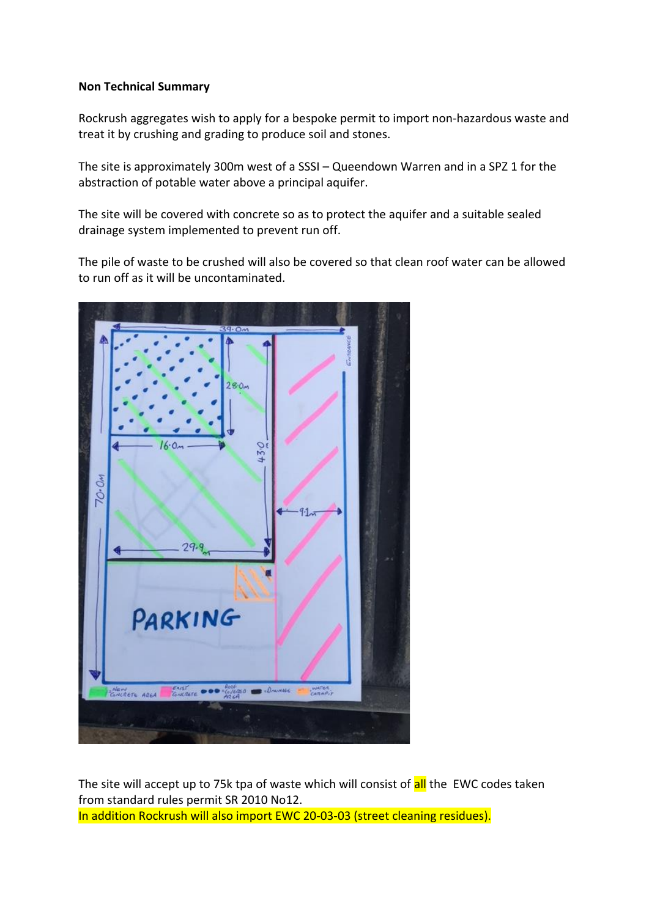## **Non Technical Summary**

Rockrush aggregates wish to apply for a bespoke permit to import non-hazardous waste and treat it by crushing and grading to produce soil and stones.

The site is approximately 300m west of a SSSI – Queendown Warren and in a SPZ 1 for the abstraction of potable water above a principal aquifer.

The site will be covered with concrete so as to protect the aquifer and a suitable sealed drainage system implemented to prevent run off.

The pile of waste to be crushed will also be covered so that clean roof water can be allowed to run off as it will be uncontaminated.



The site will accept up to 75k tpa of waste which will consist of all the EWC codes taken from standard rules permit SR 2010 No12. In addition Rockrush will also import EWC 20-03-03 (street cleaning residues).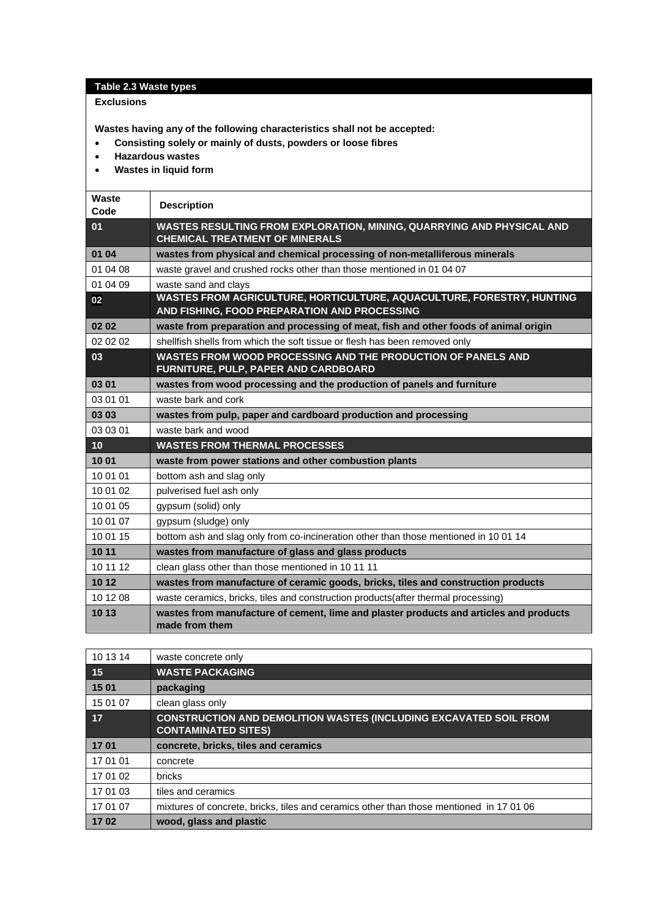## **Table 2.3 Waste types**

## **Exclusions**

**Wastes having any of the following characteristics shall not be accepted:**

- **Consisting solely or mainly of dusts, powders or loose fibres**
- **Hazardous wastes**
- **Wastes in liquid form**

| Waste<br>Code | <b>Description</b>                                                                                                    |
|---------------|-----------------------------------------------------------------------------------------------------------------------|
| 01            | WASTES RESULTING FROM EXPLORATION, MINING, QUARRYING AND PHYSICAL AND<br><b>CHEMICAL TREATMENT OF MINERALS</b>        |
| 01 04         | wastes from physical and chemical processing of non-metalliferous minerals                                            |
| 01 04 08      | waste gravel and crushed rocks other than those mentioned in 01 04 07                                                 |
| 01 04 09      | waste sand and clays                                                                                                  |
| 02            | WASTES FROM AGRICULTURE, HORTICULTURE, AQUACULTURE, FORESTRY, HUNTING<br>AND FISHING, FOOD PREPARATION AND PROCESSING |
| 02 02         | waste from preparation and processing of meat, fish and other foods of animal origin                                  |
| 02 02 02      | shellfish shells from which the soft tissue or flesh has been removed only                                            |
| 03            | WASTES FROM WOOD PROCESSING AND THE PRODUCTION OF PANELS AND<br>FURNITURE, PULP, PAPER AND CARDBOARD                  |
| 03 01         | wastes from wood processing and the production of panels and furniture                                                |
| 03 01 01      | waste bark and cork                                                                                                   |
| 03 03         | wastes from pulp, paper and cardboard production and processing                                                       |
| 03 03 01      | waste bark and wood                                                                                                   |
| 10            | <b>WASTES FROM THERMAL PROCESSES</b>                                                                                  |
| 1001          | waste from power stations and other combustion plants                                                                 |
| 10 01 01      | bottom ash and slag only                                                                                              |
| 10 01 02      | pulverised fuel ash only                                                                                              |
| 10 01 05      | gypsum (solid) only                                                                                                   |
| 10 01 07      | gypsum (sludge) only                                                                                                  |
| 10 01 15      | bottom ash and slag only from co-incineration other than those mentioned in 10 01 14                                  |
| 10 11         | wastes from manufacture of glass and glass products                                                                   |
| 10 11 12      | clean glass other than those mentioned in 10 11 11                                                                    |
| 10 12         | wastes from manufacture of ceramic goods, bricks, tiles and construction products                                     |
| 10 12 08      | waste ceramics, bricks, tiles and construction products(after thermal processing)                                     |
| 10 13         | wastes from manufacture of cement, lime and plaster products and articles and products<br>made from them              |

| 10 13 14 | waste concrete only                                                                                    |
|----------|--------------------------------------------------------------------------------------------------------|
| 15       | <b>WASTE PACKAGING</b>                                                                                 |
| 15 01    | packaging                                                                                              |
| 15 01 07 | clean glass only                                                                                       |
| 17       | <b>CONSTRUCTION AND DEMOLITION WASTES (INCLUDING EXCAVATED SOIL FROM</b><br><b>CONTAMINATED SITES)</b> |
| 1701     | concrete, bricks, tiles and ceramics                                                                   |
| 17 01 01 | concrete                                                                                               |
| 17 01 02 | bricks                                                                                                 |
| 17 01 03 | tiles and ceramics                                                                                     |
| 17 01 07 | mixtures of concrete, bricks, tiles and ceramics other than those mentioned in 170106                  |
| 1702     | wood, glass and plastic                                                                                |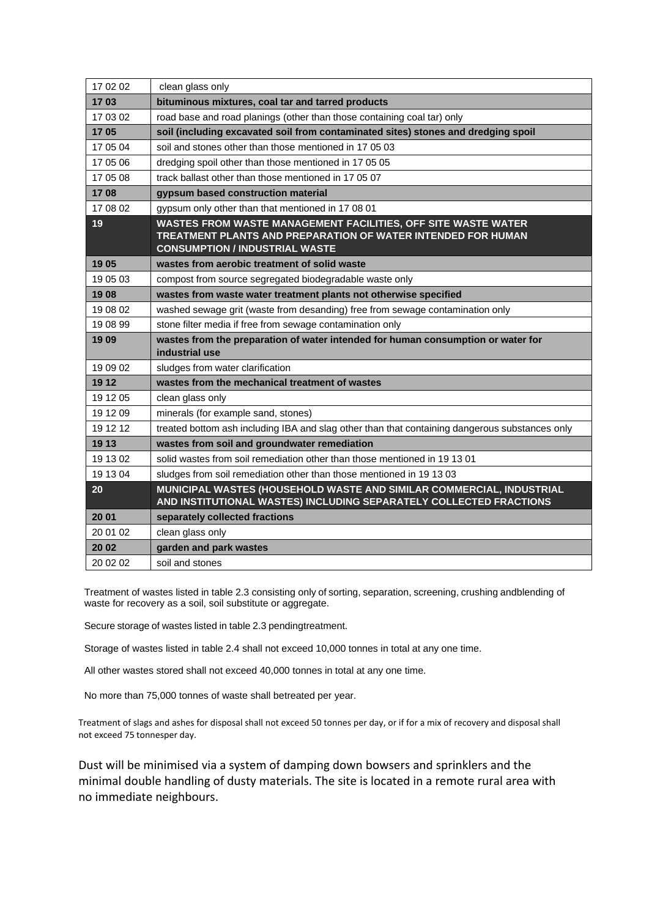| 17 02 02 | clean glass only                                                                                                                                                       |
|----------|------------------------------------------------------------------------------------------------------------------------------------------------------------------------|
| 1703     | bituminous mixtures, coal tar and tarred products                                                                                                                      |
| 17 03 02 | road base and road planings (other than those containing coal tar) only                                                                                                |
| 1705     | soil (including excavated soil from contaminated sites) stones and dredging spoil                                                                                      |
| 17 05 04 | soil and stones other than those mentioned in 17 05 03                                                                                                                 |
| 17 05 06 | dredging spoil other than those mentioned in 17 05 05                                                                                                                  |
| 17 05 08 | track ballast other than those mentioned in 17 05 07                                                                                                                   |
| 1708     | gypsum based construction material                                                                                                                                     |
| 17 08 02 | gypsum only other than that mentioned in 17 08 01                                                                                                                      |
| 19       | WASTES FROM WASTE MANAGEMENT FACILITIES, OFF SITE WASTE WATER<br>TREATMENT PLANTS AND PREPARATION OF WATER INTENDED FOR HUMAN<br><b>CONSUMPTION / INDUSTRIAL WASTE</b> |
| 19 05    | wastes from aerobic treatment of solid waste                                                                                                                           |
| 19 05 03 | compost from source segregated biodegradable waste only                                                                                                                |
| 1908     | wastes from waste water treatment plants not otherwise specified                                                                                                       |
| 19 08 02 | washed sewage grit (waste from desanding) free from sewage contamination only                                                                                          |
| 19 08 99 | stone filter media if free from sewage contamination only                                                                                                              |
| 1909     | wastes from the preparation of water intended for human consumption or water for<br>industrial use                                                                     |
| 19 09 02 | sludges from water clarification                                                                                                                                       |
| 19 12    | wastes from the mechanical treatment of wastes                                                                                                                         |
| 19 12 05 | clean glass only                                                                                                                                                       |
| 19 12 09 | minerals (for example sand, stones)                                                                                                                                    |
| 19 12 12 | treated bottom ash including IBA and slag other than that containing dangerous substances only                                                                         |
| 19 13    | wastes from soil and groundwater remediation                                                                                                                           |
| 19 13 02 | solid wastes from soil remediation other than those mentioned in 19 13 01                                                                                              |
| 19 13 04 | sludges from soil remediation other than those mentioned in 191303                                                                                                     |
| 20       | MUNICIPAL WASTES (HOUSEHOLD WASTE AND SIMILAR COMMERCIAL, INDUSTRIAL<br>AND INSTITUTIONAL WASTES) INCLUDING SEPARATELY COLLECTED FRACTIONS                             |
| 20 01    | separately collected fractions                                                                                                                                         |
| 20 01 02 | clean glass only                                                                                                                                                       |
| 20 02    | garden and park wastes                                                                                                                                                 |
| 20 02 02 | soil and stones                                                                                                                                                        |

Treatment of wastes listed in table 2.3 consisting only of sorting, separation, screening, crushing andblending of waste for recovery as a soil, soil substitute or aggregate.

Secure storage of wastes listed in table 2.3 pendingtreatment.

Storage of wastes listed in table 2.4 shall not exceed 10,000 tonnes in total at any one time.

All other wastes stored shall not exceed 40,000 tonnes in total at any one time.

No more than 75,000 tonnes of waste shall betreated per year.

Treatment of slags and ashes for disposal shall not exceed 50 tonnes per day, or if for a mix of recovery and disposal shall not exceed 75 tonnesper day.

Dust will be minimised via a system of damping down bowsers and sprinklers and the minimal double handling of dusty materials. The site is located in a remote rural area with no immediate neighbours.